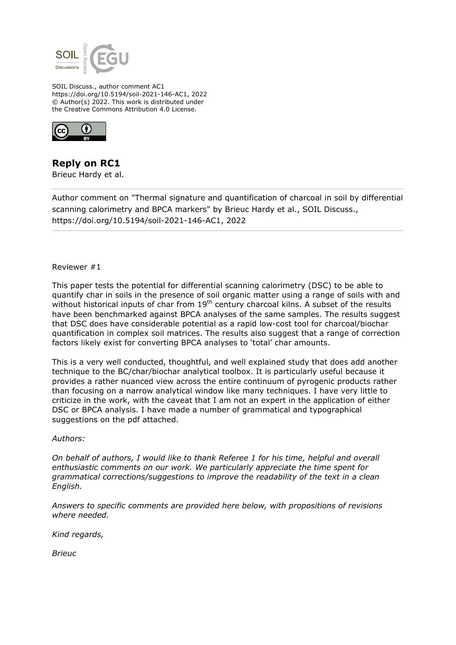

SOIL Discuss., author comment AC1 https://doi.org/10.5194/soil-2021-146-AC1, 2022 © Author(s) 2022. This work is distributed under the Creative Commons Attribution 4.0 License.



## **Reply on RC1**

Brieuc Hardy et al.

Author comment on "Thermal signature and quantification of charcoal in soil by differential scanning calorimetry and BPCA markers" by Brieuc Hardy et al., SOIL Discuss., https://doi.org/10.5194/soil-2021-146-AC1, 2022

## Reviewer #1

This paper tests the potential for differential scanning calorimetry (DSC) to be able to quantify char in soils in the presence of soil organic matter using a range of soils with and without historical inputs of char from  $19<sup>th</sup>$  century charcoal kilns. A subset of the results have been benchmarked against BPCA analyses of the same samples. The results suggest that DSC does have considerable potential as a rapid low-cost tool for charcoal/biochar quantification in complex soil matrices. The results also suggest that a range of correction factors likely exist for converting BPCA analyses to 'total' char amounts.

This is a very well conducted, thoughtful, and well explained study that does add another technique to the BC/char/biochar analytical toolbox. It is particularly useful because it provides a rather nuanced view across the entire continuum of pyrogenic products rather than focusing on a narrow analytical window like many techniques. I have very little to criticize in the work, with the caveat that I am not an expert in the application of either DSC or BPCA analysis. I have made a number of grammatical and typographical suggestions on the pdf attached.

## *Authors:*

*On behalf of authors, I would like to thank Referee 1 for his time, helpful and overall enthusiastic comments on our work. We particularly appreciate the time spent for grammatical corrections/suggestions to improve the readability of the text in a clean English.*

*Answers to specific comments are provided here below, with propositions of revisions where needed.*

*Kind regards,* 

*Brieuc*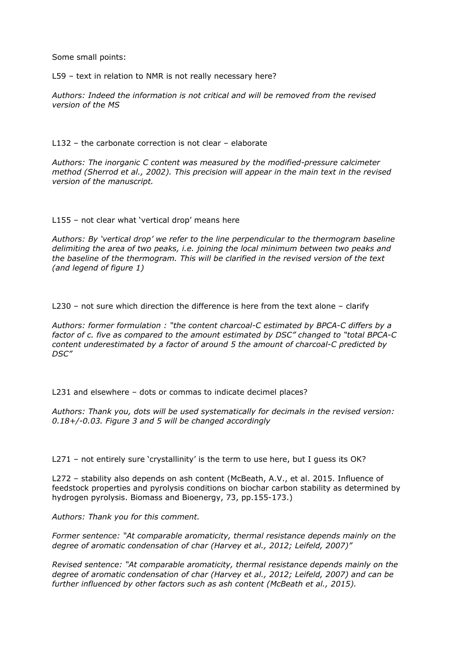Some small points:

L59 – text in relation to NMR is not really necessary here?

*Authors: Indeed the information is not critical and will be removed from the revised version of the MS*

L132 – the carbonate correction is not clear – elaborate

*Authors: The inorganic C content was measured by the modified-pressure calcimeter method (Sherrod et al., 2002). This precision will appear in the main text in the revised version of the manuscript.*

L155 – not clear what 'vertical drop' means here

*Authors: By 'vertical drop' we refer to the line perpendicular to the thermogram baseline delimiting the area of two peaks, i.e. joining the local minimum between two peaks and the baseline of the thermogram. This will be clarified in the revised version of the text (and legend of figure 1)*

L230 – not sure which direction the difference is here from the text alone – clarify

*Authors: former formulation : "the content charcoal-C estimated by BPCA-C differs by a factor of c. five as compared to the amount estimated by DSC" changed to "total BPCA-C content underestimated by a factor of around 5 the amount of charcoal-C predicted by DSC"*

L231 and elsewhere – dots or commas to indicate decimel places?

*Authors: Thank you, dots will be used systematically for decimals in the revised version: 0.18+/-0.03. Figure 3 and 5 will be changed accordingly*

L271 – not entirely sure 'crystallinity' is the term to use here, but I quess its OK?

L272 – stability also depends on ash content (McBeath, A.V., et al. 2015. Influence of feedstock properties and pyrolysis conditions on biochar carbon stability as determined by hydrogen pyrolysis. Biomass and Bioenergy, 73, pp.155-173.)

*Authors: Thank you for this comment.*

*Former sentence: "At comparable aromaticity, thermal resistance depends mainly on the degree of aromatic condensation of char (Harvey et al., 2012; Leifeld, 2007)"*

*Revised sentence: "At comparable aromaticity, thermal resistance depends mainly on the degree of aromatic condensation of char (Harvey et al., 2012; Leifeld, 2007) and can be further influenced by other factors such as ash content (McBeath et al., 2015).*